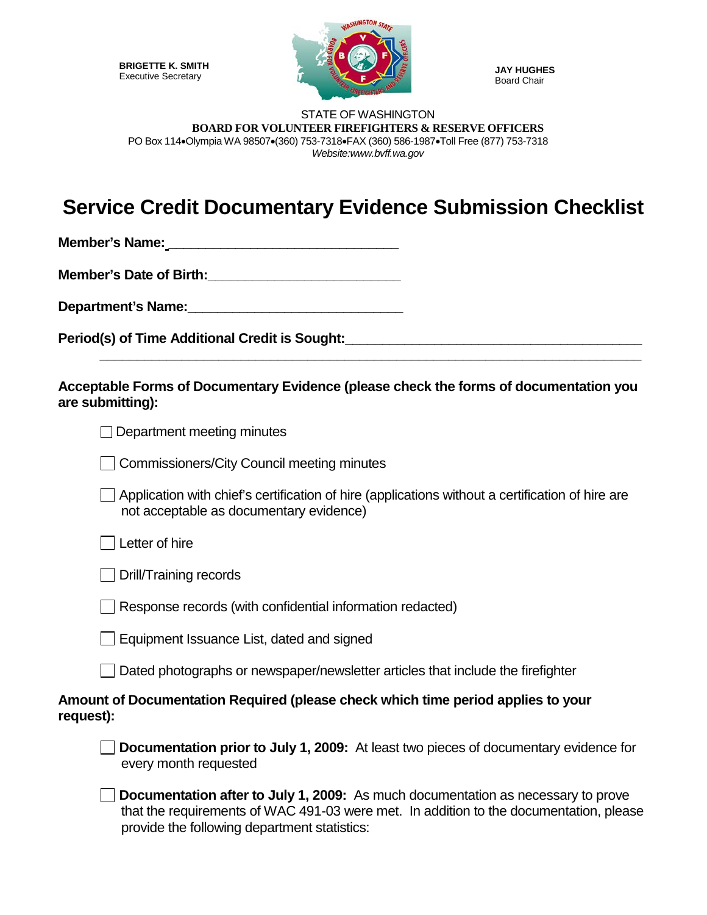**BRIGETTE K. SMITH** Executive Secretary



**JAY HUGHES** Board Chair

## STATE OF WASHINGTON **BOARD FOR VOLUNTEER FIREFIGHTERS & RESERVE OFFICERS** PO Box 114•Olympia WA 98507•(360) 753-7318•FAX (360) 586-1987•Toll Free (877) 753-7318 *Website:www.bvff.wa.gov*

## **Service Credit Documentary Evidence Submission Checklist**

**Member's Name: Department** 

**Member's Date of Birth:\_\_\_\_\_\_\_\_\_\_\_\_\_\_\_\_\_\_\_\_\_\_\_\_\_\_**

**Department's Name:\_\_\_\_\_\_\_\_\_\_\_\_\_\_\_\_\_\_\_\_\_\_\_\_\_\_\_\_\_**

Period(s) of Time Additional Credit is Sought:

**Acceptable Forms of Documentary Evidence (please check the forms of documentation you are submitting):**

**\_\_\_\_\_\_\_\_\_\_\_\_\_\_\_\_\_\_\_\_\_\_\_\_\_\_\_\_\_\_\_\_\_\_\_\_\_\_\_\_\_\_\_\_\_\_\_\_\_\_\_\_\_\_\_\_\_\_\_\_\_\_\_\_\_\_\_\_\_\_\_\_\_**

| $\Box$ Department meeting minutes |  |  |
|-----------------------------------|--|--|
|-----------------------------------|--|--|

|  | Commissioners/City Council meeting minutes |
|--|--------------------------------------------|
|--|--------------------------------------------|

Application with chief's certification of hire (applications without a certification of hire are not acceptable as documentary evidence)

Letter of hire

Drill/Training records

Response records (with confidential information redacted)

Equipment Issuance List, dated and signed

Dated photographs or newspaper/newsletter articles that include the firefighter

## **Amount of Documentation Required (please check which time period applies to your request):**

**Documentation prior to July 1, 2009:** At least two pieces of documentary evidence for every month requested

**Documentation after to July 1, 2009:** As much documentation as necessary to prove that the requirements of WAC 491-03 were met. In addition to the documentation, please provide the following department statistics: